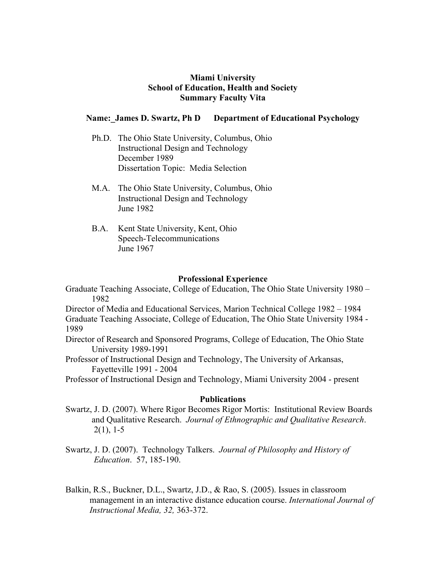### **Miami University School of Education, Health and Society Summary Faculty Vita**

## Name: James D. Swartz, Ph D Department of Educational Psychology

- Ph.D. The Ohio State University, Columbus, Ohio Instructional Design and Technology December 1989 Dissertation Topic: Media Selection
- M.A. The Ohio State University, Columbus, Ohio Instructional Design and Technology June 1982
- B.A. Kent State University, Kent, Ohio Speech-Telecommunications June 1967

#### **Professional Experience**

Graduate Teaching Associate, College of Education, The Ohio State University 1980 – 1982

Director of Media and Educational Services, Marion Technical College 1982 – 1984 Graduate Teaching Associate, College of Education, The Ohio State University 1984 - 1989

Director of Research and Sponsored Programs, College of Education, The Ohio State University 1989-1991

Professor of Instructional Design and Technology, The University of Arkansas, Fayetteville 1991 - 2004

Professor of Instructional Design and Technology, Miami University 2004 - present

#### **Publications**

- Swartz, J. D. (2007). Where Rigor Becomes Rigor Mortis: Institutional Review Boards and Qualitative Research. *Journal of Ethnographic and Qualitative Research*.  $2(1)$ , 1-5
- Swartz, J. D. (2007). Technology Talkers. *Journal of Philosophy and History of Education*. 57, 185-190.
- Balkin, R.S., Buckner, D.L., Swartz, J.D., & Rao, S. (2005). Issues in classroom management in an interactive distance education course. *International Journal of Instructional Media, 32,* 363-372.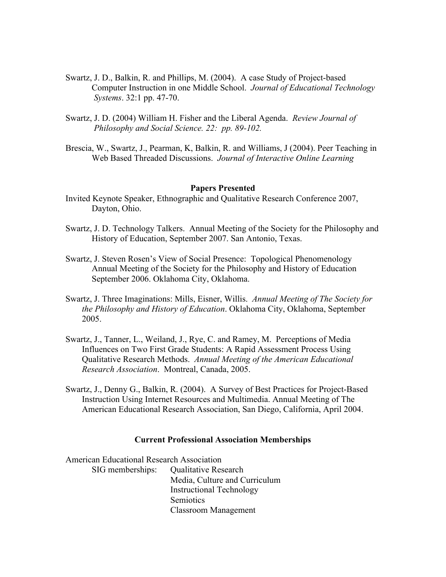- Swartz, J. D., Balkin, R. and Phillips, M. (2004). A case Study of Project-based Computer Instruction in one Middle School. *Journal of Educational Technology Systems*. 32:1 pp. 47-70.
- Swartz, J. D. (2004) William H. Fisher and the Liberal Agenda. *Review Journal of Philosophy and Social Science. 22: pp. 89-102.*
- Brescia, W., Swartz, J., Pearman, K, Balkin, R. and Williams, J (2004). Peer Teaching in Web Based Threaded Discussions. *Journal of Interactive Online Learning*

#### **Papers Presented**

- Invited Keynote Speaker, Ethnographic and Qualitative Research Conference 2007, Dayton, Ohio.
- Swartz, J. D. Technology Talkers. Annual Meeting of the Society for the Philosophy and History of Education, September 2007. San Antonio, Texas.
- Swartz, J. Steven Rosen's View of Social Presence: Topological Phenomenology Annual Meeting of the Society for the Philosophy and History of Education September 2006. Oklahoma City, Oklahoma.
- Swartz, J. Three Imaginations: Mills, Eisner, Willis. *Annual Meeting of The Society for the Philosophy and History of Education*. Oklahoma City, Oklahoma, September 2005.
- Swartz, J., Tanner, L., Weiland, J., Rye, C. and Ramey, M. Perceptions of Media Influences on Two First Grade Students: A Rapid Assessment Process Using Qualitative Research Methods. *Annual Meeting of the American Educational Research Association*. Montreal, Canada, 2005.
- Swartz, J., Denny G., Balkin, R. (2004). A Survey of Best Practices for Project-Based Instruction Using Internet Resources and Multimedia. Annual Meeting of The American Educational Research Association, San Diego, California, April 2004.

#### **Current Professional Association Memberships**

American Educational Research Association SIG memberships: Qualitative Research Media, Culture and Curriculum Instructional Technology Semiotics Classroom Management